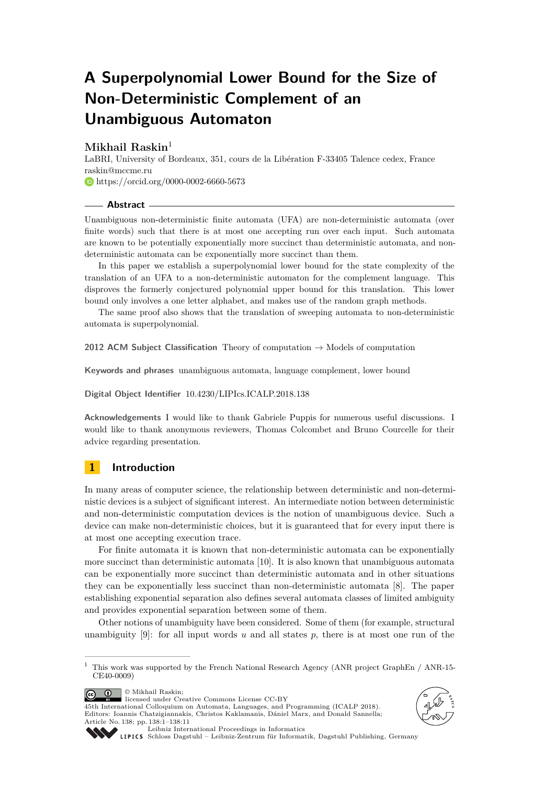# **A Superpolynomial Lower Bound for the Size of Non-Deterministic Complement of an Unambiguous Automaton**

# **Mikhail Raskin**<sup>1</sup>

LaBRI, University of Bordeaux, 351, cours de la Libération F-33405 Talence cedex, France [raskin@mccme.ru](mailto:raskin@mccme.ru) **<https://orcid.org/0000-0002-6660-5673>** 

#### **Abstract**

Unambiguous non-deterministic finite automata (UFA) are non-deterministic automata (over finite words) such that there is at most one accepting run over each input. Such automata are known to be potentially exponentially more succinct than deterministic automata, and nondeterministic automata can be exponentially more succinct than them.

In this paper we establish a superpolynomial lower bound for the state complexity of the translation of an UFA to a non-deterministic automaton for the complement language. This disproves the formerly conjectured polynomial upper bound for this translation. This lower bound only involves a one letter alphabet, and makes use of the random graph methods.

The same proof also shows that the translation of sweeping automata to non-deterministic automata is superpolynomial.

**2012 ACM Subject Classification** Theory of computation → Models of computation

**Keywords and phrases** unambiguous automata, language complement, lower bound

**Digital Object Identifier** [10.4230/LIPIcs.ICALP.2018.138](http://dx.doi.org/10.4230/LIPIcs.ICALP.2018.138)

**Acknowledgements** I would like to thank Gabriele Puppis for numerous useful discussions. I would like to thank anonymous reviewers, Thomas Colcombet and Bruno Courcelle for their advice regarding presentation.

# **1 Introduction**

In many areas of computer science, the relationship between deterministic and non-deterministic devices is a subject of significant interest. An intermediate notion between deterministic and non-deterministic computation devices is the notion of unambiguous device. Such a device can make non-deterministic choices, but it is guaranteed that for every input there is at most one accepting execution trace.

For finite automata it is known that non-deterministic automata can be exponentially more succinct than deterministic automata [\[10\]](#page-9-0). It is also known that unambiguous automata can be exponentially more succinct than deterministic automata and in other situations they can be exponentially less succinct than non-deterministic automata [\[8\]](#page-9-1). The paper establishing exponential separation also defines several automata classes of limited ambiguity and provides exponential separation between some of them.

Other notions of unambiguity have been considered. Some of them (for example, structural unambiguity [\[9\]](#page-9-2): for all input words *u* and all states *p*, there is at most one run of the

© Mikhail Raskin;  $\boxed{6}$  0



45th International Colloquium on Automata, Languages, and Programming (ICALP 2018). Editors: Ioannis Chatzigiannakis, Christos Kaklamanis, Dániel Marx, and Donald Sannella; Article No. 138; pp. 138:1–138[:11](#page-10-0)





[Leibniz International Proceedings in Informatics](http://www.dagstuhl.de/lipics/)

[Schloss Dagstuhl – Leibniz-Zentrum für Informatik, Dagstuhl Publishing, Germany](http://www.dagstuhl.de)

<sup>&</sup>lt;sup>1</sup> This work was supported by the French National Research Agency (ANR project GraphEn / ANR-15-CE40-0009)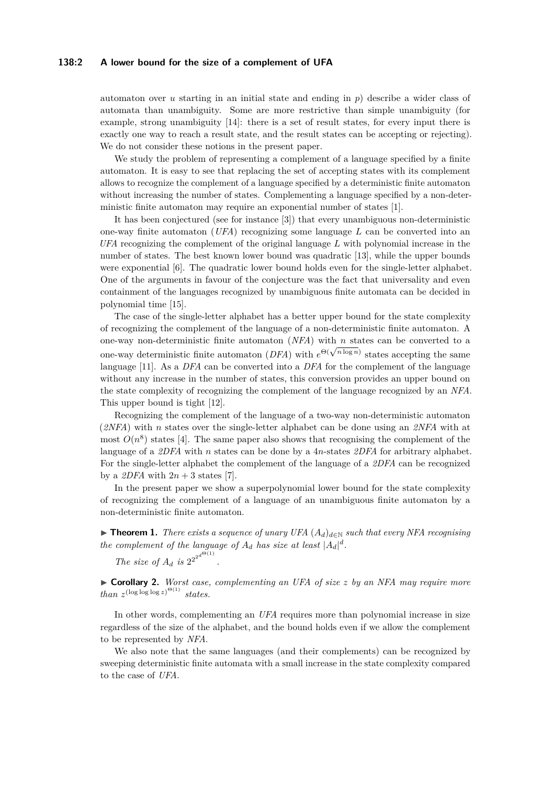#### **138:2 A lower bound for the size of a complement of UFA**

automaton over *u* starting in an initial state and ending in *p*) describe a wider class of automata than unambiguity. Some are more restrictive than simple unambiguity (for example, strong unambiguity [\[14\]](#page-10-1): there is a set of result states, for every input there is exactly one way to reach a result state, and the result states can be accepting or rejecting). We do not consider these notions in the present paper.

We study the problem of representing a complement of a language specified by a finite automaton. It is easy to see that replacing the set of accepting states with its complement allows to recognize the complement of a language specified by a deterministic finite automaton without increasing the number of states. Complementing a language specified by a non-deterministic finite automaton may require an exponential number of states [\[1\]](#page-9-3).

It has been conjectured (see for instance [\[3\]](#page-9-4)) that every unambiguous non-deterministic one-way finite automaton (*UFA*) recognizing some language *L* can be converted into an *UFA* recognizing the complement of the original language *L* with polynomial increase in the number of states. The best known lower bound was quadratic [\[13\]](#page-10-2), while the upper bounds were exponential [\[6\]](#page-9-5). The quadratic lower bound holds even for the single-letter alphabet. One of the arguments in favour of the conjecture was the fact that universality and even containment of the languages recognized by unambiguous finite automata can be decided in polynomial time [\[15\]](#page-10-3).

The case of the single-letter alphabet has a better upper bound for the state complexity of recognizing the complement of the language of a non-deterministic finite automaton. A one-way non-deterministic finite automaton (*NFA*) with *n* states can be converted to a one-way non-deterministic finite automaton (*NFA*) with *n* states can be converted to a<br>one-way deterministic finite automaton (*DFA*) with  $e^{\Theta(\sqrt{n \log n})}$  states accepting the same language [\[11\]](#page-10-4). As a *DFA* can be converted into a *DFA* for the complement of the language without any increase in the number of states, this conversion provides an upper bound on the state complexity of recognizing the complement of the language recognized by an *NFA*. This upper bound is tight [\[12\]](#page-10-5).

Recognizing the complement of the language of a two-way non-deterministic automaton (*2NFA*) with *n* states over the single-letter alphabet can be done using an *2NFA* with at most  $O(n^8)$  states [\[4\]](#page-9-6). The same paper also shows that recognising the complement of the language of a *2DFA* with *n* states can be done by a 4*n*-states *2DFA* for arbitrary alphabet. For the single-letter alphabet the complement of the language of a *2DFA* can be recognized by a  $2DFA$  with  $2n + 3$  states [\[7\]](#page-9-7).

In the present paper we show a superpolynomial lower bound for the state complexity of recognizing the complement of a language of an unambiguous finite automaton by a non-deterministic finite automaton.

<span id="page-1-0"></span>**► Theorem 1.** *There exists a sequence of unary UFA*  $(A_d)_{d \in \mathbb{N}}$  *such that every NFA recognising the complement of the language of*  $A_d$  *has size at least*  $|A_d|^d$ .

*The size of*  $A_d$  *is*  $2^{2^{d^{\Theta(1)}}}$ 

*.*

I **Corollary 2.** *Worst case, complementing an UFA of size z by an NFA may require more than*  $z^{(\log \log \log z)^{\Theta(1)}}$  *states.* 

In other words, complementing an *UFA* requires more than polynomial increase in size regardless of the size of the alphabet, and the bound holds even if we allow the complement to be represented by *NFA*.

We also note that the same languages (and their complements) can be recognized by sweeping deterministic finite automata with a small increase in the state complexity compared to the case of *UFA*.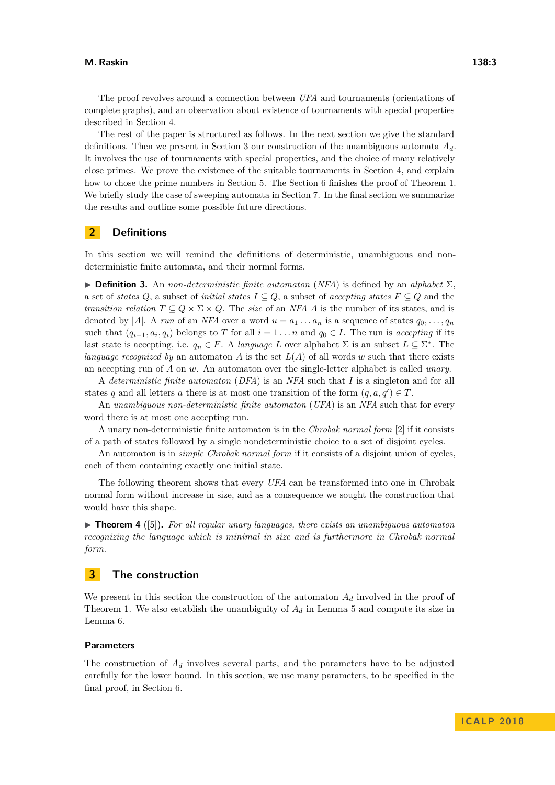The proof revolves around a connection between *UFA* and tournaments (orientations of complete graphs), and an observation about existence of tournaments with special properties described in Section [4.](#page-4-0)

The rest of the paper is structured as follows. In the next section we give the standard definitions. Then we present in Section [3](#page-2-0) our construction of the unambiguous automata *Ad*. It involves the use of tournaments with special properties, and the choice of many relatively close primes. We prove the existence of the suitable tournaments in Section [4,](#page-4-0) and explain how to chose the prime numbers in Section [5.](#page-5-0) The Section [6](#page-6-0) finishes the proof of Theorem [1.](#page-1-0) We briefly study the case of sweeping automata in Section [7.](#page-8-0) In the final section we summarize the results and outline some possible future directions.

# **2 Definitions**

In this section we will remind the definitions of deterministic, unambiguous and nondeterministic finite automata, and their normal forms.

 $\triangleright$  **Definition 3.** An *non-deterministic finite automaton* (*NFA*) is defined by an *alphabet*  $\Sigma$ , a set of *states*  $Q$ , a subset of *initial states*  $I \subseteq Q$ , a subset of *accepting states*  $F \subseteq Q$  and the *transition relation*  $T \subseteq Q \times \Sigma \times Q$ . The *size* of an *NFA A* is the number of its states, and is denoted by |A|. A *run* of an *NFA* over a word  $u = a_1 \ldots a_n$  is a sequence of states  $q_0, \ldots, q_n$ such that  $(q_{i-1}, a_i, q_i)$  belongs to *T* for all  $i = 1 \ldots n$  and  $q_0 \in I$ . The run is *accepting* if its last state is accepting, i.e.  $q_n \in F$ . A *language L* over alphabet  $\Sigma$  is an subset  $L \subseteq \Sigma^*$ . The *language recognized by* an automaton *A* is the set  $L(A)$  of all words *w* such that there exists an accepting run of *A* on *w*. An automaton over the single-letter alphabet is called *unary*.

A *deterministic finite automaton* (*DFA*) is an *NFA* such that *I* is a singleton and for all states *q* and all letters *a* there is at most one transition of the form  $(q, a, q') \in T$ .

An *unambiguous non-deterministic finite automaton* (*UFA*) is an *NFA* such that for every word there is at most one accepting run.

A unary non-deterministic finite automaton is in the *Chrobak normal form* [\[2\]](#page-9-8) if it consists of a path of states followed by a single nondeterministic choice to a set of disjoint cycles.

An automaton is in *simple Chrobak normal form* if it consists of a disjoint union of cycles, each of them containing exactly one initial state.

The following theorem shows that every *UFA* can be transformed into one in Chrobak normal form without increase in size, and as a consequence we sought the construction that would have this shape.

 $\triangleright$  **Theorem 4** ([\[5\]](#page-9-9)). For all regular unary languages, there exists an unambiguous automaton *recognizing the language which is minimal in size and is furthermore in Chrobak normal form.*

## <span id="page-2-0"></span>**3 The construction**

We present in this section the construction of the automaton  $A_d$  involved in the proof of Theorem [1.](#page-1-0) We also establish the unambiguity of  $A_d$  in Lemma [5](#page-3-0) and compute its size in Lemma [6.](#page-4-1)

### **Parameters**

The construction of *A<sup>d</sup>* involves several parts, and the parameters have to be adjusted carefully for the lower bound. In this section, we use many parameters, to be specified in the final proof, in Section [6.](#page-6-0)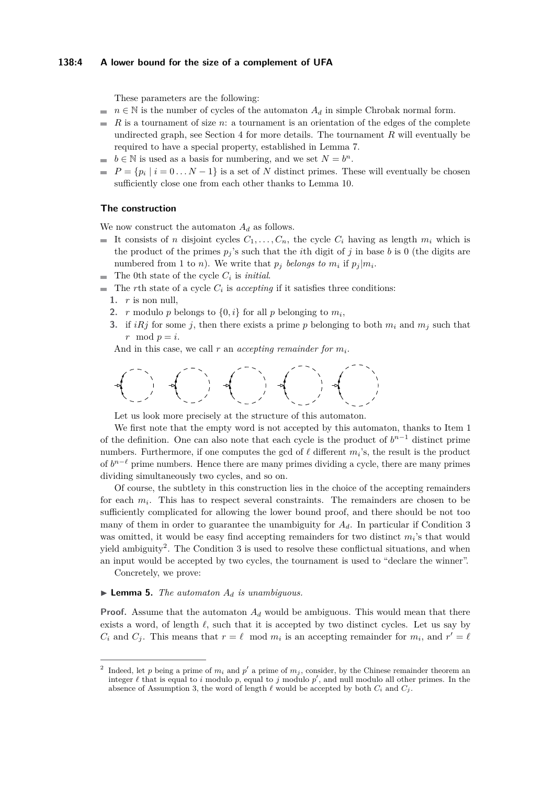#### **138:4 A lower bound for the size of a complement of UFA**

These parameters are the following:

- $n \in \mathbb{N}$  is the number of cycles of the automaton  $A_d$  in simple Chrobak normal form.
- *R* is a tournament of size *n*: a tournament is an orientation of the edges of the complete  $\sim$ undirected graph, see Section [4](#page-4-0) for more details. The tournament *R* will eventually be required to have a special property, established in Lemma [7.](#page-4-2)
- $b \in \mathbb{N}$  is used as a basis for numbering, and we set  $N = b^n$ .
- $P = \{p_i \mid i = 0...N-1\}$  is a set of *N* distinct primes. These will eventually be chosen sufficiently close one from each other thanks to Lemma [10.](#page-5-1)

#### **The construction**

We now construct the automaton  $A_d$  as follows.

- It consists of *n* disjoint cycles  $C_1, \ldots, C_n$ , the cycle  $C_i$  having as length  $m_i$  which is the product of the primes  $p_j$ 's such that the *i*th digit of  $j$  in base  $b$  is 0 (the digits are numbered from 1 to *n*). We write that  $p_j$  belongs to  $m_i$  if  $p_j | m_i$ .
- The 0th state of the cycle *C<sup>i</sup>* is *initial*.
- <span id="page-3-4"></span><span id="page-3-1"></span>The *r*th state of a cycle  $C_i$  is *accepting* if it satisfies three conditions:
	- **1.** *r* is non null,
	- **2.** *r* modulo *p* belongs to  $\{0, i\}$  for all *p* belonging to  $m_i$ ,
	- **3.** if  $iRj$  for some *j*, then there exists a prime *p* belonging to both  $m_i$  and  $m_j$  such that  $r \mod p = i$ .

<span id="page-3-2"></span>And in this case, we call  $r$  an *accepting remainder for*  $m_i$ .

$$
\frac{1}{2} \left( \begin{array}{cc} 0 & 0 \\ 0 & 0 \\ 0 & 0 \end{array} \right) = \left( \begin{array}{cc} 0 & 0 \\ 0 & 0 \\ 0 & 0 \end{array} \right) = \left( \begin{array}{cc} 0 & 0 \\ 0 & 0 \\ 0 & 0 \end{array} \right) = \left( \begin{array}{cc} 0 & 0 \\ 0 & 0 \\ 0 & 0 \end{array} \right)
$$

Let us look more precisely at the structure of this automaton.

We first note that the empty word is not accepted by this automaton, thanks to Item [1](#page-3-1) of the definition. One can also note that each cycle is the product of  $b^{n-1}$  distinct prime numbers. Furthermore, if one computes the gcd of  $\ell$  different  $m_i$ 's, the result is the product of  $b^{n-\ell}$  prime numbers. Hence there are many primes dividing a cycle, there are many primes dividing simultaneously two cycles, and so on.

Of course, the subtlety in this construction lies in the choice of the accepting remainders for each  $m_i$ . This has to respect several constraints. The remainders are chosen to be sufficiently complicated for allowing the lower bound proof, and there should be not too many of them in order to guarantee the unambiguity for  $A_d$ . In particular if Condition [3](#page-3-2) was omitted, it would be easy find accepting remainders for two distinct  $m_i$ 's that would yield ambiguity<sup>[2](#page-3-3)</sup>. The Condition [3](#page-3-2) is used to resolve these conflictual situations, and when an input would be accepted by two cycles, the tournament is used to "declare the winner".

Concretely, we prove:

#### <span id="page-3-0"></span> $\blacktriangleright$  **Lemma 5.** *The automaton*  $A_d$  *is unambiguous.*

**Proof.** Assume that the automaton  $A_d$  would be ambiguous. This would mean that there exists a word, of length  $\ell$ , such that it is accepted by two distinct cycles. Let us say by  $C_i$  and  $C_j$ . This means that  $r = \ell \mod m_i$  is an accepting remainder for  $m_i$ , and  $r' = \ell$ 

<span id="page-3-3"></span><sup>2</sup> Indeed, let p being a prime of  $m_i$  and  $p'$  a prime of  $m_j$ , consider, by the Chinese remainder theorem an integer  $\ell$  that is equal to *i* modulo  $p$ , equal to *j* modulo  $p'$ , and null modulo all other primes. In the absence of Assumption [3,](#page-3-2) the word of length  $\ell$  would be accepted by both  $C_i$  and  $C_j$ .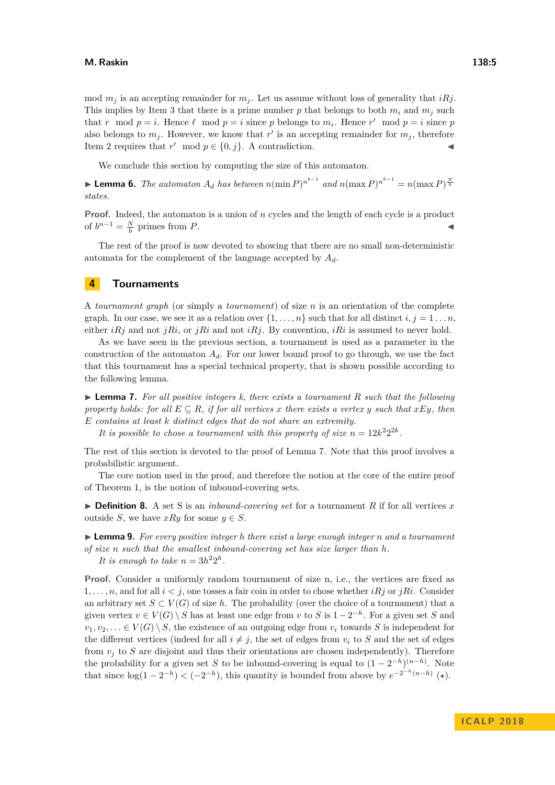mod  $m_j$  is an accepting remainder for  $m_j$ . Let us assume without loss of generality that *iRj*. This implies by Item [3](#page-3-2) that there is a prime number p that belongs to both  $m_i$  and  $m_j$  such that *r* mod  $p = i$ . Hence  $\ell$  mod  $p = i$  since *p* belongs to  $m_i$ . Hence  $r'$  mod  $p = i$  since *p* also belongs to  $m_j$ . However, we know that  $r'$  is an accepting remainder for  $m_j$ , therefore Item [2](#page-3-4) requires that  $r' \mod p \in \{0, j\}$ . A contradiction.

We conclude this section by computing the size of this automaton.

<span id="page-4-1"></span>▶ **Lemma 6.** *The automaton*  $A_d$  *has between*  $n(\min P)^{n^{b-1}}$  *and*  $n(\max P)^{n^{b-1}} = n(\max P)^{\frac{N}{b}}$ *states.*

**Proof.** Indeed, the automaton is a union of *n* cycles and the length of each cycle is a product of  $b^{n-1} = \frac{N}{b}$  primes from *P*. ◄ ■

The rest of the proof is now devoted to showing that there are no small non-deterministic automata for the complement of the language accepted by *Ad*.

# <span id="page-4-0"></span>**4 Tournaments**

A *tournament graph* (or simply a *tournament*) of size *n* is an orientation of the complete graph. In our case, we see it as a relation over  $\{1, \ldots, n\}$  such that for all distinct  $i, j = 1 \ldots n$ , either *iRj* and not *jRi*, or *jRi* and not *iRj*. By convention, *iRi* is assumed to never hold.

As we have seen in the previous section, a tournament is used as a parameter in the construction of the automaton  $A_d$ . For our lower bound proof to go through, we use the fact that this tournament has a special technical property, that is shown possible according to the following lemma.

<span id="page-4-2"></span>▶ **Lemma 7.** For all positive integers k, there exists a tournament R such that the following *property holds: for all*  $E \subseteq R$ *, if for all vertices x there exists a vertex y such that*  $xEy$ *, then E contains at least k distinct edges that do not share an extremity.*

It is possible to chose a tournament with this property of size  $n = 12k^2 2^{2k}$ .

The rest of this section is devoted to the proof of Lemma [7.](#page-4-2) Note that this proof involves a probabilistic argument.

The core notion used in the proof, and therefore the notion at the core of the entire proof of Theorem [1,](#page-1-0) is the notion of inbound-covering sets.

 $\triangleright$  **Definition 8.** A set S is an *inbound-covering set* for a tournament R if for all vertices x outside *S*, we have  $xRy$  for some  $y \in S$ .

<span id="page-4-3"></span>I **Lemma 9.** *For every positive integer h there exist a large enough integer n and a tournament of size n such that the smallest inbound-covering set has size larger than h.* It is enough to take  $n = 3h^2 2^h$ .

**Proof.** Consider a uniformly random tournament of size n, i.e., the vertices are fixed as 1, ..., n, and for all  $i < j$ , one tosses a fair coin in order to chose whether  $iRj$  or  $jRi$ . Consider an arbitrary set  $S \subset V(G)$  of size h. The probability (over the choice of a tournament) that a given vertex  $v \in V(G) \setminus S$  has at least one edge from  $v$  to  $S$  is  $1 - 2^{-h}$ . For a given set  $S$  and  $v_1, v_2, \ldots \in V(G) \setminus S$ , the existence of an outgoing edge from  $v_i$  towards *S* is independent for the different vertices (indeed for all  $i \neq j$ , the set of edges from  $v_i$  to *S* and the set of edges from  $v_i$  to *S* are disjoint and thus their orientations are chosen independently). Therefore the probability for a given set *S* to be inbound-covering is equal to  $(1 - 2^{-h})^{(n-h)}$ . Note that since  $\log(1-2^{-h}) < (-2^{-h})$ , this quantity is bounded from above by  $e^{-2^{-h}(n-h)}$  ( $\star$ ).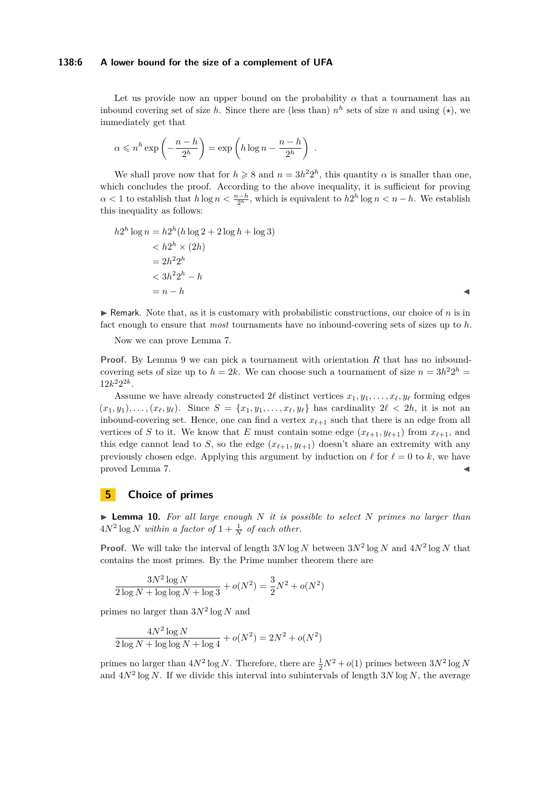#### **138:6 A lower bound for the size of a complement of UFA**

Let us provide now an upper bound on the probability  $\alpha$  that a tournament has an inbound covering set of size *h*. Since there are (less than)  $n<sup>h</sup>$  sets of size *n* and using  $(\star)$ , we immediately get that

$$
\alpha \leqslant n^h \exp\left(-\frac{n-h}{2^h}\right) = \exp\left(h \log n - \frac{n-h}{2^h}\right) .
$$

We shall prove now that for  $h \geq 8$  and  $n = 3h^2 2^h$ , this quantity  $\alpha$  is smaller than one, which concludes the proof. According to the above inequality, it is sufficient for proving  $\alpha < 1$  to establish that  $h \log n < \frac{n-h}{2^h}$ , which is equivalent to  $h2^h \log n < n-h$ . We establish this inequality as follows:

$$
h2h \log n = h2h (h \log 2 + 2 \log h + \log 3)
$$
  

$$
< h2h \times (2h)
$$
  

$$
= 2h22h
$$
  

$$
< 3h22h - h
$$
  

$$
= n - h
$$

 $\triangleright$  Remark. Note that, as it is customary with probabilistic constructions, our choice of *n* is in fact enough to ensure that *most* tournaments have no inbound-covering sets of sizes up to *h*.

Now we can prove Lemma [7.](#page-4-2)

**Proof.** By Lemma [9](#page-4-3) we can pick a tournament with orientation *R* that has no inboundcovering sets of size up to  $h = 2k$ . We can choose such a tournament of size  $n = 3h^2 2^h$  $12k^2 2^{2k}$ .

Assume we have already constructed 2 $\ell$  distinct vertices  $x_1, y_1, \ldots, x_\ell, y_\ell$  forming edges  $(x_1, y_1), \ldots, (x_\ell, y_\ell)$ . Since  $S = \{x_1, y_1, \ldots, x_\ell, y_\ell\}$  has cardinality  $2\ell < 2h$ , it is not an inbound-covering set. Hence, one can find a vertex  $x_{\ell+1}$  such that there is an edge from all vertices of *S* to it. We know that *E* must contain some edge  $(x_{\ell+1}, y_{\ell+1})$  from  $x_{\ell+1}$ , and this edge cannot lead to *S*, so the edge  $(x_{\ell+1}, y_{\ell+1})$  doesn't share an extremity with any previously chosen edge. Applying this argument by induction on  $\ell$  for  $\ell = 0$  to k, we have proved Lemma [7.](#page-4-2)

## <span id="page-5-0"></span>**5 Choice of primes**

<span id="page-5-1"></span> $\triangleright$  **Lemma 10.** For all large enough N it is possible to select N primes no larger than  $4N^2 \log N$  *within a factor of*  $1 + \frac{1}{N}$  *of each other.* 

**Proof.** We will take the interval of length  $3N \log N$  between  $3N^2 \log N$  and  $4N^2 \log N$  that contains the most primes. By the Prime number theorem there are

$$
\frac{3N^2\log N}{2\log N + \log \log N + \log 3} + o(N^2) = \frac{3}{2}N^2 + o(N^2)
$$

primes no larger than 3*N*<sup>2</sup> log *N* and

$$
\frac{4N^2\log N}{2\log N + \log \log N + \log 4} + o(N^2) = 2N^2 + o(N^2)
$$

primes no larger than  $4N^2 \log N$ . Therefore, there are  $\frac{1}{2}N^2 + o(1)$  primes between  $3N^2 \log N$ and  $4N^2 \log N$ . If we divide this interval into subintervals of length  $3N \log N$ , the average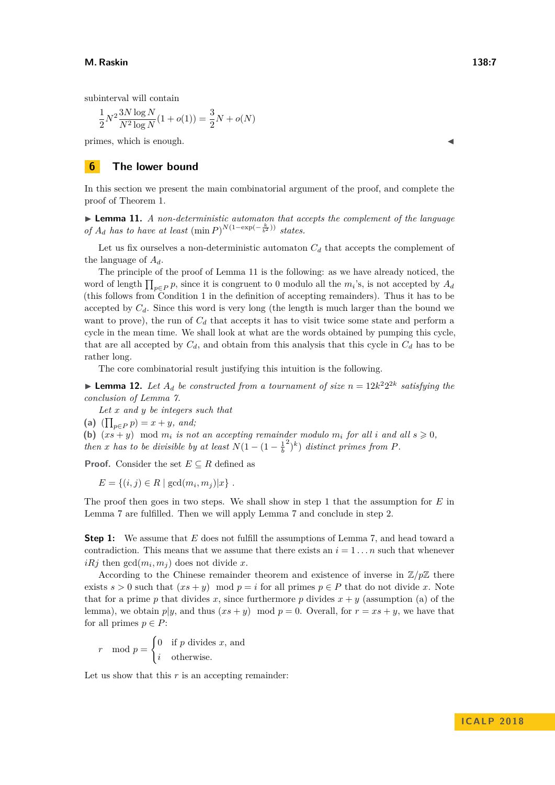subinterval will contain

$$
\frac{1}{2}N^2\frac{3N\log N}{N^2\log N}(1+o(1))=\frac{3}{2}N+o(N)
$$

primes, which is enough. J

## <span id="page-6-0"></span>**6 The lower bound**

In this section we present the main combinatorial argument of the proof, and complete the proof of Theorem [1.](#page-1-0)

<span id="page-6-1"></span>► **Lemma 11.** *A non-deterministic automaton that accepts the complement of the language of*  $A_d$  *has to have at least*  $(\min P)^{N(1-\exp(-\frac{k}{b^2}))}$  *states.* 

Let us fix ourselves a non-deterministic automaton  $C_d$  that accepts the complement of the language of *Ad*.

The principle of the proof of Lemma [11](#page-6-1) is the following: as we have already noticed, the word of length  $\prod_{p\in P} p$ , since it is congruent to 0 modulo all the  $m_i$ 's, is not accepted by  $A_d$ (this follows from Condition [1](#page-3-1) in the definition of accepting remainders). Thus it has to be accepted by *Cd*. Since this word is very long (the length is much larger than the bound we want to prove), the run of  $C_d$  that accepts it has to visit twice some state and perform a cycle in the mean time. We shall look at what are the words obtained by pumping this cycle, that are all accepted by  $C_d$ , and obtain from this analysis that this cycle in  $C_d$  has to be rather long.

The core combinatorial result justifying this intuition is the following.

<span id="page-6-2"></span>**I Lemma 12.** Let  $A_d$  be constructed from a tournament of size  $n = 12k^2 2^{2k}$  satisfying the *conclusion of Lemma [7.](#page-4-2)*

*Let x and y be integers such that*

(a)  $(\prod_{p \in P} p) = x + y$ *, and;* 

**(b)**  $(x\hat{s} + y)$  mod  $m_i$  *is not an accepting remainder modulo*  $m_i$  *for all i and all*  $s \ge 0$ *, then x has to be divisible by at least*  $N(1 - (1 - \frac{1}{b}))$  $^{2})^{k}$ ) *distinct primes from P*.

**Proof.** Consider the set  $E \subseteq R$  defined as

 $E = \{(i, j) \in R \mid \gcd(m_i, m_j) | x\}.$ 

The proof then goes in two steps. We shall show in step 1 that the assumption for *E* in Lemma [7](#page-4-2) are fulfilled. Then we will apply Lemma [7](#page-4-2) and conclude in step 2.

**Step 1:** We assume that *E* does not fulfill the assumptions of Lemma [7,](#page-4-2) and head toward a contradiction. This means that we assume that there exists an  $i = 1 \dots n$  such that whenever  $iRj$  then  $gcd(m_i, m_j)$  does not divide x.

According to the Chinese remainder theorem and existence of inverse in  $\mathbb{Z}/p\mathbb{Z}$  there exists  $s > 0$  such that  $(xs + y) \mod p = i$  for all primes  $p \in P$  that do not divide x. Note that for a prime *p* that divides *x*, since furthermore *p* divides  $x + y$  (assumption (a) of the lemma), we obtain  $p|y$ , and thus  $(xs + y) \mod p = 0$ . Overall, for  $r = xs + y$ , we have that for all primes  $p \in P$ :

$$
r \mod p = \begin{cases} 0 & \text{if } p \text{ divides } x \text{, and} \\ i & \text{otherwise.} \end{cases}
$$

Let us show that this *r* is an accepting remainder: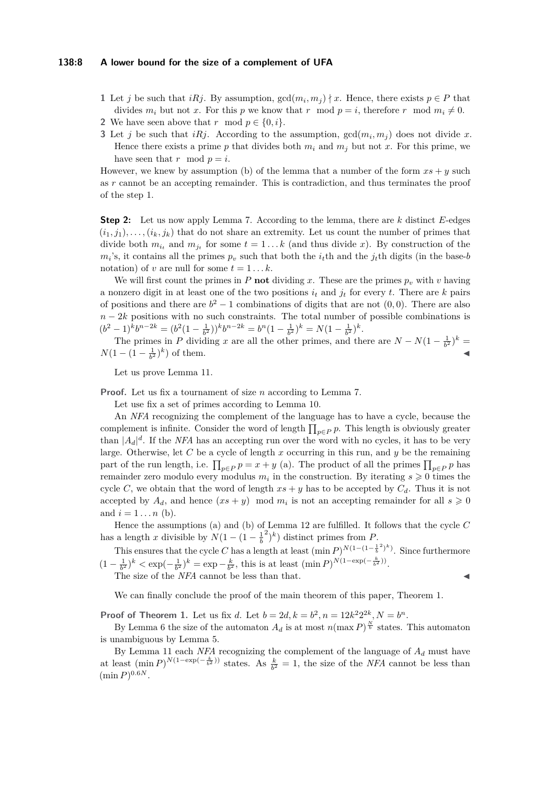#### **138:8 A lower bound for the size of a complement of UFA**

- **[1](#page-3-1)** Let *j* be such that *iRj*. By assumption,  $gcd(m_i, m_j) \nmid x$ . Hence, there exists  $p \in P$  that divides  $m_i$  but not x. For this p we know that r mod  $p = i$ , therefore r mod  $m_i \neq 0$ .
- **[2](#page-3-4)** We have seen above that *r* mod  $p \in \{0, i\}$ .
- **[3](#page-3-2)** Let *j* be such that *iRj*. According to the assumption,  $gcd(m_i, m_j)$  does not divide *x*. Hence there exists a prime  $p$  that divides both  $m_i$  and  $m_j$  but not  $x$ . For this prime, we have seen that  $r \mod p = i$ .

However, we knew by assumption (b) of the lemma that a number of the form  $xs + y$  such as *r* cannot be an accepting remainder. This is contradiction, and thus terminates the proof of the step 1.

**Step 2:** Let us now apply Lemma [7.](#page-4-2) According to the lemma, there are *k* distinct *E*-edges  $(i_1, i_1), \ldots, (i_k, i_k)$  that do not share an extremity. Let us count the number of primes that divide both  $m_{i_t}$  and  $m_{j_t}$  for some  $t = 1...k$  (and thus divide *x*). By construction of the  $m_i$ 's, it contains all the primes  $p_v$  such that both the  $i_t$ <sup>th</sup> and the  $j_t$ <sup>th</sup> digits (in the base-*b* notation) of *v* are null for some  $t = 1...k$ .

We will first count the primes in *P* **not** dividing *x*. These are the primes  $p_v$  with *v* having a nonzero digit in at least one of the two positions  $i_t$  and  $j_t$  for every *t*. There are *k* pairs of positions and there are  $b^2 - 1$  combinations of digits that are not  $(0,0)$ . There are also  $n-2k$  positions with no such constraints. The total number of possible combinations is  $(b^2 - 1)^k b^{n-2k} = (b^2(1 - \frac{1}{b^2}))^k b^{n-2k} = b^n(1 - \frac{1}{b^2})^k = N(1 - \frac{1}{b^2})^k.$ 

The primes in *P* dividing *x* are all the other primes, and there are  $N - N(1 - \frac{1}{b^2})^k =$  $N(1 - (1 - \frac{1}{b^2})^k)$  of them.

Let us prove Lemma [11.](#page-6-1)

**Proof.** Let us fix a tournament of size *n* according to Lemma [7.](#page-4-2)

Let use fix a set of primes according to Lemma [10.](#page-5-1)

An *NFA* recognizing the complement of the language has to have a cycle, because the complement is infinite. Consider the word of length  $\prod_{p\in P} p$ . This length is obviously greater than  $|A_d|^d$ . If the *NFA* has an accepting run over the word with no cycles, it has to be very large. Otherwise, let *C* be a cycle of length *x* occurring in this run, and *y* be the remaining part of the run length, i.e.  $\prod_{p\in P} p = x + y$  (a). The product of all the primes  $\prod_{p\in P} p$  has remainder zero modulo every modulus  $m_i$  in the construction. By iterating  $s \geqslant 0$  times the cycle *C*, we obtain that the word of length  $xs + y$  has to be accepted by  $C_d$ . Thus it is not accepted by  $A_d$ , and hence  $(xs + y) \mod m_i$  is not an accepting remainder for all  $s \geq 0$ and  $i = 1...n$  (b).

Hence the assumptions (a) and (b) of Lemma [12](#page-6-2) are fulfilled. It follows that the cycle *C* has a length *x* divisible by  $N(1 - (1 - \frac{1}{b}))$  $^{2})^{k}$ ) distinct primes from *P*.

This ensures that the cycle *C* has a length at least  $(\min P)^{N(1-(1-\frac{1}{b}^2)^k)}$ . Since furthermore  $(1 - \frac{1}{b^2})^k < \exp(-\frac{1}{b^2})^k = \exp(-\frac{k}{b^2})$ , this is at least  $(\min P)^{N(1-\exp(-\frac{k}{b^2}))}$ .

The size of the *NFA* cannot be less than that.

We can finally conclude the proof of the main theorem of this paper, Theorem [1.](#page-1-0)

**Proof of Theorem [1.](#page-1-0)** Let us fix *d*. Let  $b = 2d, k = b^2, n = 12k^2 2^{2k}, N = b^n$ .

By Lemma [6](#page-4-1) the size of the automaton  $A_d$  is at most  $n(\max P)^{\frac{N}{b}}$  states. This automaton is unambiguous by Lemma [5.](#page-3-0)

By Lemma [11](#page-6-1) each *NFA* recognizing the complement of the language of *A<sup>d</sup>* must have at least  $(\min P)^{N(1-\exp(-\frac{k}{b^2}))}$  states. As  $\frac{k}{b^2} = 1$ , the size of the *NFA* cannot be less than  $(\min P)^{0.6N}$ .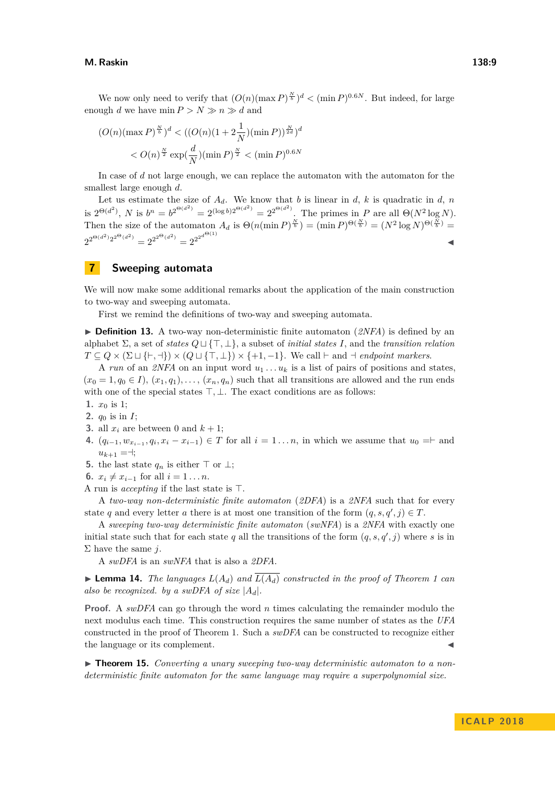We now only need to verify that  $(O(n)(\max P)^{\frac{N}{b}})^d < (\min P)^{0.6N}$ . But indeed, for large enough *d* we have  $\min P > N \gg n \gg d$  and

$$
(O(n)(\max P)^{\frac{N}{b}})^d < ((O(n)(1+2\frac{1}{N})(\min P))^{\frac{N}{2d}})^d < O(n)^{\frac{N}{2}} \exp(\frac{d}{N})(\min P)^{\frac{N}{2}} < (\min P)^{0.6N}
$$

In case of *d* not large enough, we can replace the automaton with the automaton for the smallest large enough *d*.

Let us estimate the size of  $A_d$ . We know that *b* is linear in *d*, *k* is quadratic in *d*, *n* is  $2^{\Theta(d^2)}$ , *N* is  $b^n = b^{2^{\Theta(d^2)}} = 2^{(\log b)2^{\Theta(d^2)}} = 2^{2^{\Theta(d^2)}}$ . The primes in *P* are all  $\Theta(N^2 \log N)$ . Then the size of the automaton  $A_d$  is  $\Theta(n(\min P)^{\frac{N}{b}}) = (\min P)^{\Theta(\frac{N}{b})} = (N^2 \log N)^{\Theta(\frac{N}{b})} =$  $2^{2^{\Theta(d^2)} 2^{2^{\Theta(d^2)}}} = 2^{2^{2^{\Theta(d^2)}}} = 2^{2^{2^{d^{\Theta(1)}}}}$ 

## <span id="page-8-0"></span>**7 Sweeping automata**

We will now make some additional remarks about the application of the main construction to two-way and sweeping automata.

First we remind the definitions of two-way and sweeping automata.

 $\triangleright$  **Definition 13.** A two-way non-deterministic finite automaton (*2NFA*) is defined by an alphabet  $\Sigma$ , a set of *states*  $Q \sqcup \{\top, \bot\}$ , a subset of *initial states I*, and the *transition relation*  $T \subseteq Q \times (\Sigma \sqcup \{\vdash, \dashv\}) \times (Q \sqcup \{\top, \perp\}) \times \{\dashv, \dashv\}.$  We call  $\vdash$  and  $\dashv$  *endpoint markers.* 

A *run* of an *2NFA* on an input word  $u_1 \ldots u_k$  is a list of pairs of positions and states,  $(x_0 = 1, q_0 \in I)$ ,  $(x_1, q_1)$ , ...,  $(x_n, q_n)$  such that all transitions are allowed and the run ends with one of the special states  $\top, \bot$ . The exact conditions are as follows:

1.  $x_0$  is 1;

**2.** *q*<sup>0</sup> is in *I*;

- **3.** all  $x_i$  are between 0 and  $k + 1$ ;
- **4.**  $(q_{i-1}, w_{x_{i-1}}, q_i, x_i x_{i-1})$  ∈ *T* for all  $i = 1...n$ , in which we assume that  $u_0 = ∣$  and  $u_{k+1} = \dashv;$
- **5.** the last state  $q_n$  is either  $\top$  or  $\bot$ ;
- **6.**  $x_i \neq x_{i-1}$  for all  $i = 1...n$ .
- A run is *accepting* if the last state is  $\top$ .

A *two-way non-deterministic finite automaton* (*2DFA*) is a *2NFA* such that for every state *q* and every letter *a* there is at most one transition of the form  $(q, s, q', j) \in T$ .

A *sweeping two-way deterministic finite automaton* (*swNFA*) is a *2NFA* with exactly one initial state such that for each state  $q$  all the transitions of the form  $(q, s, q', j)$  where  $s$  is in Σ have the same *j*.

A *swDFA* is an *swNFA* that is also a *2DFA*.

<span id="page-8-1"></span> $\blacktriangleright$  **Lemma [1](#page-1-0)4.** *The languages*  $L(A_d)$  *and*  $\overline{L(A_d)}$  *constructed in the proof of Theorem 1 can also be recognized. by a swDFA of size* |*Ad*|*.*

**Proof.** A *swDFA* can go through the word *n* times calculating the remainder modulo the next modulus each time. This construction requires the same number of states as the *UFA* constructed in the proof of Theorem [1.](#page-1-0) Such a *swDFA* can be constructed to recognize either the language or its complement.

▶ **Theorem 15.** *Converting a unary sweeping two-way deterministic automaton to a nondeterministic finite automaton for the same language may require a superpolynomial size.*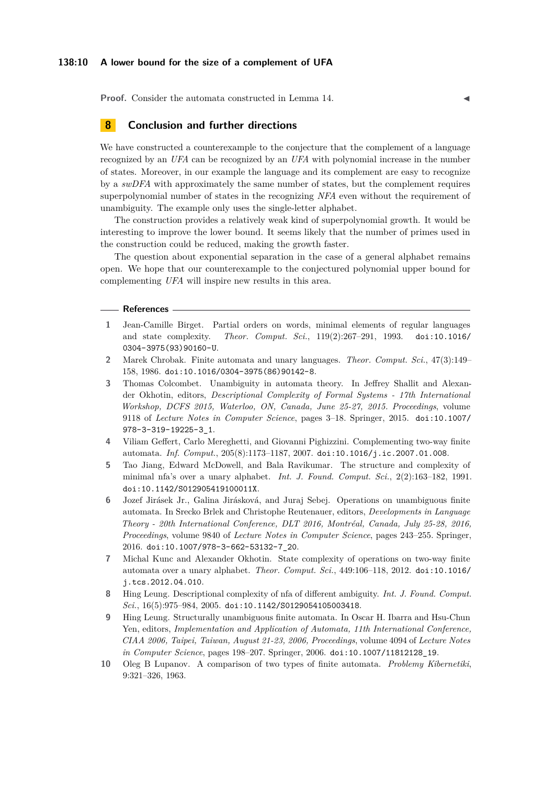#### **138:10 A lower bound for the size of a complement of UFA**

**Proof.** Consider the automata constructed in Lemma [14.](#page-8-1)

## **8 Conclusion and further directions**

We have constructed a counterexample to the conjecture that the complement of a language recognized by an *UFA* can be recognized by an *UFA* with polynomial increase in the number of states. Moreover, in our example the language and its complement are easy to recognize by a *swDFA* with approximately the same number of states, but the complement requires superpolynomial number of states in the recognizing *NFA* even without the requirement of unambiguity. The example only uses the single-letter alphabet.

The construction provides a relatively weak kind of superpolynomial growth. It would be interesting to improve the lower bound. It seems likely that the number of primes used in the construction could be reduced, making the growth faster.

The question about exponential separation in the case of a general alphabet remains open. We hope that our counterexample to the conjectured polynomial upper bound for complementing *UFA* will inspire new results in this area.

#### **References**

- <span id="page-9-3"></span>**1** Jean-Camille Birget. Partial orders on words, minimal elements of regular languages and state complexity. *Theor. Comput. Sci.*, 119(2):267–291, 1993. [doi:10.1016/](http://dx.doi.org/10.1016/0304-3975(93)90160-U) [0304-3975\(93\)90160-U](http://dx.doi.org/10.1016/0304-3975(93)90160-U).
- <span id="page-9-8"></span>**2** Marek Chrobak. Finite automata and unary languages. *Theor. Comput. Sci.*, 47(3):149– 158, 1986. [doi:10.1016/0304-3975\(86\)90142-8](http://dx.doi.org/10.1016/0304-3975(86)90142-8).
- <span id="page-9-4"></span>**3** Thomas Colcombet. Unambiguity in automata theory. In Jeffrey Shallit and Alexander Okhotin, editors, *Descriptional Complexity of Formal Systems - 17th International Workshop, DCFS 2015, Waterloo, ON, Canada, June 25-27, 2015. Proceedings*, volume 9118 of *Lecture Notes in Computer Science*, pages 3–18. Springer, 2015. [doi:10.1007/](http://dx.doi.org/10.1007/978-3-319-19225-3_1) [978-3-319-19225-3\\_1](http://dx.doi.org/10.1007/978-3-319-19225-3_1).
- <span id="page-9-6"></span>**4** Viliam Geffert, Carlo Mereghetti, and Giovanni Pighizzini. Complementing two-way finite automata. *Inf. Comput.*, 205(8):1173–1187, 2007. [doi:10.1016/j.ic.2007.01.008](http://dx.doi.org/10.1016/j.ic.2007.01.008).
- <span id="page-9-9"></span>**5** Tao Jiang, Edward McDowell, and Bala Ravikumar. The structure and complexity of minimal nfa's over a unary alphabet. *Int. J. Found. Comput. Sci.*, 2(2):163–182, 1991. [doi:10.1142/S012905419100011X](http://dx.doi.org/10.1142/S012905419100011X).
- <span id="page-9-5"></span>**6** Jozef Jirásek Jr., Galina Jirásková, and Juraj Sebej. Operations on unambiguous finite automata. In Srecko Brlek and Christophe Reutenauer, editors, *Developments in Language Theory - 20th International Conference, DLT 2016, Montréal, Canada, July 25-28, 2016, Proceedings*, volume 9840 of *Lecture Notes in Computer Science*, pages 243–255. Springer, 2016. [doi:10.1007/978-3-662-53132-7\\_20](http://dx.doi.org/10.1007/978-3-662-53132-7_20).
- <span id="page-9-7"></span>**7** Michal Kunc and Alexander Okhotin. State complexity of operations on two-way finite automata over a unary alphabet. *Theor. Comput. Sci.*, 449:106–118, 2012. [doi:10.1016/](http://dx.doi.org/10.1016/j.tcs.2012.04.010) [j.tcs.2012.04.010](http://dx.doi.org/10.1016/j.tcs.2012.04.010).
- <span id="page-9-1"></span>**8** Hing Leung. Descriptional complexity of nfa of different ambiguity. *Int. J. Found. Comput. Sci.*, 16(5):975–984, 2005. [doi:10.1142/S0129054105003418](http://dx.doi.org/10.1142/S0129054105003418).
- <span id="page-9-2"></span>**9** Hing Leung. Structurally unambiguous finite automata. In Oscar H. Ibarra and Hsu-Chun Yen, editors, *Implementation and Application of Automata, 11th International Conference, CIAA 2006, Taipei, Taiwan, August 21-23, 2006, Proceedings*, volume 4094 of *Lecture Notes in Computer Science*, pages 198–207. Springer, 2006. [doi:10.1007/11812128\\_19](http://dx.doi.org/10.1007/11812128_19).
- <span id="page-9-0"></span>**10** Oleg B Lupanov. A comparison of two types of finite automata. *Problemy Kibernetiki*, 9:321–326, 1963.